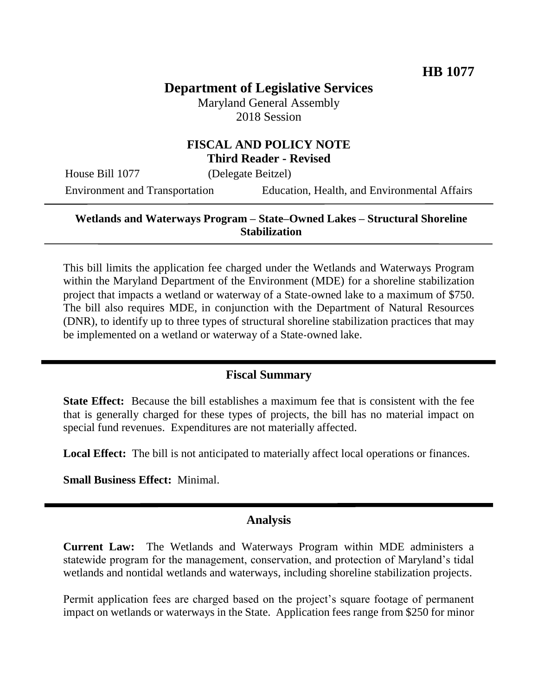# **Department of Legislative Services**

Maryland General Assembly 2018 Session

## **FISCAL AND POLICY NOTE Third Reader - Revised**

House Bill 1077 (Delegate Beitzel)

Environment and Transportation Education, Health, and Environmental Affairs

### **Wetlands and Waterways Program – State–Owned Lakes – Structural Shoreline Stabilization**

This bill limits the application fee charged under the Wetlands and Waterways Program within the Maryland Department of the Environment (MDE) for a shoreline stabilization project that impacts a wetland or waterway of a State-owned lake to a maximum of \$750. The bill also requires MDE, in conjunction with the Department of Natural Resources (DNR), to identify up to three types of structural shoreline stabilization practices that may be implemented on a wetland or waterway of a State-owned lake.

# **Fiscal Summary**

**State Effect:** Because the bill establishes a maximum fee that is consistent with the fee that is generally charged for these types of projects, the bill has no material impact on special fund revenues. Expenditures are not materially affected.

**Local Effect:** The bill is not anticipated to materially affect local operations or finances.

**Small Business Effect:** Minimal.

#### **Analysis**

**Current Law:** The Wetlands and Waterways Program within MDE administers a statewide program for the management, conservation, and protection of Maryland's tidal wetlands and nontidal wetlands and waterways, including shoreline stabilization projects.

Permit application fees are charged based on the project's square footage of permanent impact on wetlands or waterways in the State. Application fees range from \$250 for minor